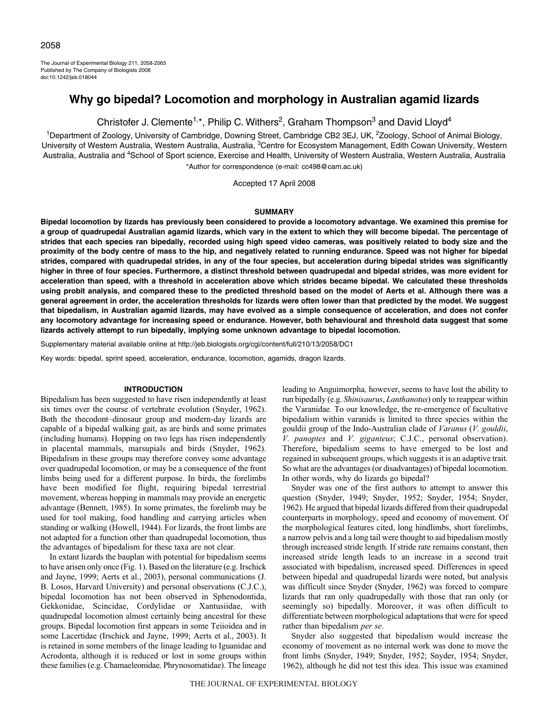The Journal of Experimental Biology 211, 2058-2065 Published by The Company of Biologists 2008 doi:10.1242/jeb.018044

# **Why go bipedal? Locomotion and morphology in Australian agamid lizards**

Christofer J. Clemente<sup>1,\*</sup>, Philip C. Withers<sup>2</sup>, Graham Thompson<sup>3</sup> and David Lloyd<sup>4</sup>

<sup>1</sup>Department of Zoology, University of Cambridge, Downing Street, Cambridge CB2 3EJ, UK, <sup>2</sup>Zoology, School of Animal Biology. University of Western Australia, Western Australia, Australia, <sup>3</sup>Centre for Ecosystem Management, Edith Cowan University, Western Australia, Australia and 4School of Sport science, Exercise and Health, University of Western Australia, Western Australia, Australia \*Author for correspondence (e-mail: cc498@cam.ac.uk)

Accepted 17 April 2008

## **SUMMARY**

**Bipedal locomotion by lizards has previously been considered to provide a locomotory advantage. We examined this premise for a group of quadrupedal Australian agamid lizards, which vary in the extent to which they will become bipedal. The percentage of strides that each species ran bipedally, recorded using high speed video cameras, was positively related to body size and the proximity of the body centre of mass to the hip, and negatively related to running endurance. Speed was not higher for bipedal strides, compared with quadrupedal strides, in any of the four species, but acceleration during bipedal strides was significantly higher in three of four species. Furthermore, a distinct threshold between quadrupedal and bipedal strides, was more evident for acceleration than speed, with a threshold in acceleration above which strides became bipedal. We calculated these thresholds using probit analysis, and compared these to the predicted threshold based on the model of Aerts et al. Although there was a general agreement in order, the acceleration thresholds for lizards were often lower than that predicted by the model. We suggest that bipedalism, in Australian agamid lizards, may have evolved as a simple consequence of acceleration, and does not confer any locomotory advantage for increasing speed or endurance. However, both behavioural and threshold data suggest that some lizards actively attempt to run bipedally, implying some unknown advantage to bipedal locomotion.**

Supplementary material available online at http://jeb.biologists.org/cgi/content/full/210/13/2058/DC1

Key words: bipedal, sprint speed, acceleration, endurance, locomotion, agamids, dragon lizards.

## **INTRODUCTION**

Bipedalism has been suggested to have risen independently at least six times over the course of vertebrate evolution (Snyder, 1962). Both the thecodont–dinosaur group and modern-day lizards are capable of a bipedal walking gait, as are birds and some primates (including humans). Hopping on two legs has risen independently in placental mammals, marsupials and birds (Snyder, 1962). Bipedalism in these groups may therefore convey some advantage over quadrupedal locomotion, or may be a consequence of the front limbs being used for a different purpose. In birds, the forelimbs have been modified for flight, requiring bipedal terrestrial movement, whereas hopping in mammals may provide an energetic advantage (Bennett, 1985). In some primates, the forelimb may be used for tool making, food handling and carrying articles when standing or walking (Howell, 1944). For lizards, the front limbs are not adapted for a function other than quadrupedal locomotion, thus the advantages of bipedalism for these taxa are not clear.

In extant lizards the bauplan with potential for bipedalism seems to have arisen only once (Fig. 1). Based on the literature (e.g. Irschick and Jayne, 1999; Aerts et al., 2003), personal communications (J. B. Losos, Harvard University) and personal observations (C.J.C.), bipedal locomotion has not been observed in Sphenodontida, Gekkonidae, Scincidae, Cordylidae or Xantusiidae, with quadrupedal locomotion almost certainly being ancestral for these groups. Bipedal locomotion first appears in some Teiioidea and in some Lacertidae (Irschick and Jayne, 1999; Aerts et al., 2003). It is retained in some members of the linage leading to Iguanidae and Acrodonta, although it is reduced or lost in some groups within these families (e.g. Chamaeleonidae*,* Phrynosomatidae). The lineage leading to Anguimorpha*,* however, seems to have lost the ability to run bipedally (e.g. *Shinisaurus*, *Lanthanotus*) only to reappear within the Varanidae*.* To our knowledge, the re-emergence of facultative bipedalism within varanids is limited to three species within the gouldii group of the Indo-Australian clade of *Varanus* (*V. gouldii*, *V. panoptes* and *V. giganteus*; C.J.C., personal observation). Therefore, bipedalism seems to have emerged to be lost and regained in subsequent groups, which suggests it is an adaptive trait. So what are the advantages (or disadvantages) of bipedal locomotion. In other words, why do lizards go bipedal?

Snyder was one of the first authors to attempt to answer this question (Snyder, 1949; Snyder, 1952; Snyder, 1954; Snyder, 1962). He argued that bipedal lizards differed from their quadrupedal counterparts in morphology, speed and economy of movement. Of the morphological features cited, long hindlimbs, short forelimbs, a narrow pelvis and a long tail were thought to aid bipedalism mostly through increased stride length. If stride rate remains constant, then increased stride length leads to an increase in a second trait associated with bipedalism, increased speed. Differences in speed between bipedal and quadrupedal lizards were noted, but analysis was difficult since Snyder (Snyder, 1962) was forced to compare lizards that ran only quadrupedally with those that ran only (or seemingly so) bipedally. Moreover, it was often difficult to differentiate between morphological adaptations that were for speed rather than bipedalism *per se*.

Snyder also suggested that bipedalism would increase the economy of movement as no internal work was done to move the front limbs (Snyder, 1949; Snyder, 1952; Snyder, 1954; Snyder, 1962), although he did not test this idea. This issue was examined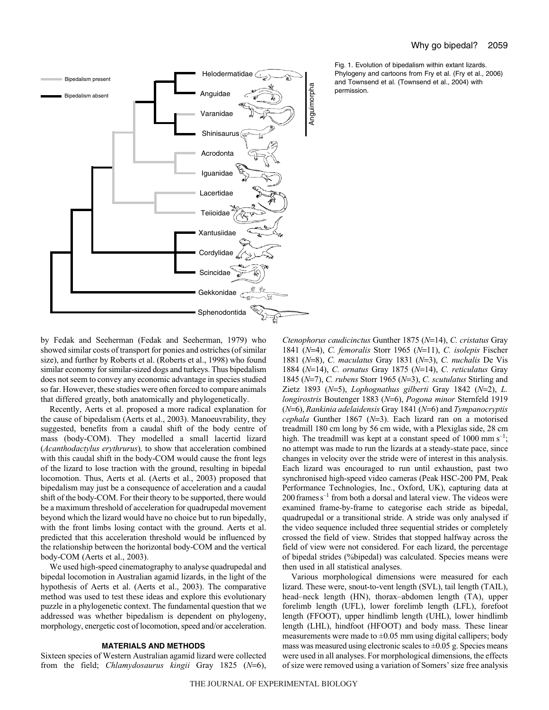

Fig. 1. Evolution of bipedalism within extant lizards. Phylogeny and cartoons from Fry et al. (Fry et al., 2006) and Townsend et al. (Townsend et al., 2004) with permission.

by Fedak and Seeherman (Fedak and Seeherman, 1979) who showed similar costs of transport for ponies and ostriches (of similar size), and further by Roberts et al. (Roberts et al., 1998) who found similar economy for similar-sized dogs and turkeys. Thus bipedalism does not seem to convey any economic advantage in species studied so far. However, these studies were often forced to compare animals that differed greatly, both anatomically and phylogenetically.

Recently, Aerts et al. proposed a more radical explanation for the cause of bipedalism (Aerts et al., 2003). Manoeuvrability, they suggested, benefits from a caudal shift of the body centre of mass (body-COM). They modelled a small lacertid lizard (*Acanthodactylus erythrurus*)*,* to show that acceleration combined with this caudal shift in the body-COM would cause the front legs of the lizard to lose traction with the ground, resulting in bipedal locomotion. Thus, Aerts et al. (Aerts et al., 2003) proposed that bipedalism may just be a consequence of acceleration and a caudal shift of the body-COM. For their theory to be supported, there would be a maximum threshold of acceleration for quadrupedal movement beyond which the lizard would have no choice but to run bipedally, with the front limbs losing contact with the ground. Aerts et al. predicted that this acceleration threshold would be influenced by the relationship between the horizontal body-COM and the vertical body-COM (Aerts et al., 2003).

We used high-speed cinematography to analyse quadrupedal and bipedal locomotion in Australian agamid lizards, in the light of the hypothesis of Aerts et al. (Aerts et al., 2003). The comparative method was used to test these ideas and explore this evolutionary puzzle in a phylogenetic context. The fundamental question that we addressed was whether bipedalism is dependent on phylogeny, morphology, energetic cost of locomotion, speed and/or acceleration.

# **MATERIALS AND METHODS**

Sixteen species of Western Australian agamid lizard were collected from the field; *Chlamydosaurus kingii* Gray 1825 (*N*=6), *Ctenophorus caudicinctus* Gunther 1875 (*N*=14), *C. cristatus* Gray 1841 (*N*=4), *C. femoralis* Storr 1965 (*N*=11), *C. isolepis* Fischer 1881 (*N*=8), *C. maculatus* Gray 1831 (*N*=3), *C. nuchalis* De Vis 1884 (*N*=14), *C. ornatus* Gray 1875 (*N*=14), *C. reticulatus* Gray 1845 (*N*=7), *C. rubens* Storr 1965 (*N*=3), *C. scutulatus* Stirling and Zietz 1893 (*N*=5), *Lophognathus gilberti* Gray 1842 (*N*=2), *L. longirostris* Boutenger 1883 (*N*=6), *Pogona minor* Sternfeld 1919 (*N*=6), *Rankinia adelaidensis* Gray 1841 (*N*=6) and *Tympanocryptis cephala* Gunther 1867 (*N*=3). Each lizard ran on a motorised treadmill 180 cm long by 56 cm wide, with a Plexiglas side, 28 cm high. The treadmill was kept at a constant speed of  $1000$  mm s<sup>-1</sup>; no attempt was made to run the lizards at a steady-state pace, since changes in velocity over the stride were of interest in this analysis. Each lizard was encouraged to run until exhaustion, past two synchronised high-speed video cameras (Peak HSC-200 PM, Peak Performance Technologies, Inc., Oxford, UK), capturing data at  $200$  frames  $s^{-1}$  from both a dorsal and lateral view. The videos were examined frame-by-frame to categorise each stride as bipedal, quadrupedal or a transitional stride. A stride was only analysed if the video sequence included three sequential strides or completely crossed the field of view. Strides that stopped halfway across the field of view were not considered. For each lizard, the percentage of bipedal strides (%bipedal) was calculated. Species means were then used in all statistical analyses.

Various morphological dimensions were measured for each lizard. These were, snout-to-vent length (SVL), tail length (TAIL), head–neck length (HN), thorax–abdomen length (TA), upper forelimb length (UFL), lower forelimb length (LFL), forefoot length (FFOOT), upper hindlimb length (UHL), lower hindlimb length (LHL), hindfoot (HFOOT) and body mass. These linear measurements were made to  $\pm 0.05$  mm using digital callipers; body mass was measured using electronic scales to  $\pm 0.05$  g. Species means were used in all analyses. For morphological dimensions, the effects of size were removed using a variation of Somers' size free analysis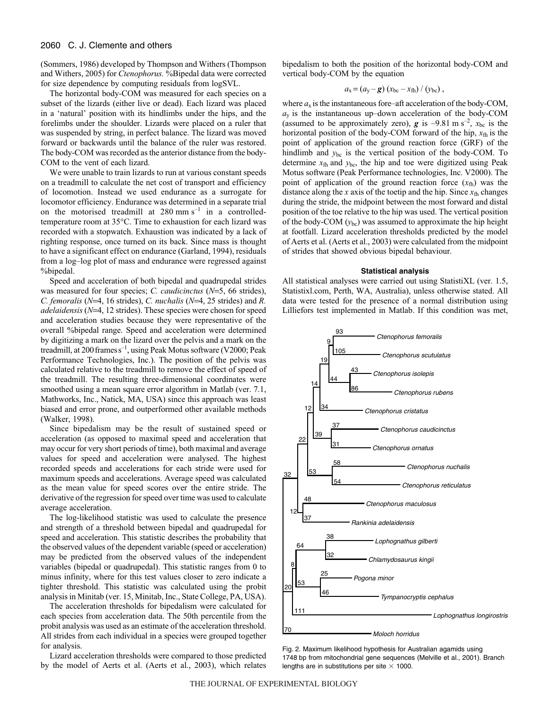## 2060 C. J. Clemente and others

(Sommers, 1986) developed by Thompson and Withers (Thompson and Withers, 2005) for *Ctenophorus.* %Bipedal data were corrected for size dependence by computing residuals from logSVL.

The horizontal body-COM was measured for each species on a subset of the lizards (either live or dead). Each lizard was placed in a 'natural' position with its hindlimbs under the hips, and the forelimbs under the shoulder. Lizards were placed on a ruler that was suspended by string, in perfect balance. The lizard was moved forward or backwards until the balance of the ruler was restored. The body-COM was recorded as the anterior distance from the body-COM to the vent of each lizard.

We were unable to train lizards to run at various constant speeds on a treadmill to calculate the net cost of transport and efficiency of locomotion. Instead we used endurance as a surrogate for locomotor efficiency. Endurance was determined in a separate trial on the motorised treadmill at  $280$  mm s<sup>-1</sup> in a controlledtemperature room at 35°C. Time to exhaustion for each lizard was recorded with a stopwatch. Exhaustion was indicated by a lack of righting response, once turned on its back. Since mass is thought to have a significant effect on endurance (Garland, 1994), residuals from a log–log plot of mass and endurance were regressed against %bipedal.

Speed and acceleration of both bipedal and quadrupedal strides was measured for four species; *C. caudicinctus* (*N*=5, 66 strides), *C. femoralis* (*N*=4, 16 strides), *C. nuchalis* (*N*=4, 25 strides) and *R. adelaidensis* (*N*=4, 12 strides). These species were chosen for speed and acceleration studies because they were representative of the overall %bipedal range. Speed and acceleration were determined by digitizing a mark on the lizard over the pelvis and a mark on the treadmill, at 200 frames s<sup>-1</sup>, using Peak Motus software (V2000; Peak Performance Technologies, Inc.). The position of the pelvis was calculated relative to the treadmill to remove the effect of speed of the treadmill. The resulting three-dimensional coordinates were smoothed using a mean square error algorithm in Matlab (ver. 7.1, Mathworks, Inc., Natick, MA, USA) since this approach was least biased and error prone, and outperformed other available methods (Walker, 1998).

Since bipedalism may be the result of sustained speed or acceleration (as opposed to maximal speed and acceleration that may occur for very short periods of time), both maximal and average values for speed and acceleration were analysed. The highest recorded speeds and accelerations for each stride were used for maximum speeds and accelerations. Average speed was calculated as the mean value for speed scores over the entire stride. The derivative of the regression for speed over time was used to calculate average acceleration.

The log-likelihood statistic was used to calculate the presence and strength of a threshold between bipedal and quadrupedal for speed and acceleration. This statistic describes the probability that the observed values of the dependent variable (speed or acceleration) may be predicted from the observed values of the independent variables (bipedal or quadrupedal). This statistic ranges from 0 to minus infinity, where for this test values closer to zero indicate a tighter threshold. This statistic was calculated using the probit analysis in Minitab (ver. 15, Minitab, Inc., State College, PA, USA).

The acceleration thresholds for bipedalism were calculated for each species from acceleration data. The 50th percentile from the probit analysis was used as an estimate of the acceleration threshold. All strides from each individual in a species were grouped together for analysis.

Lizard acceleration thresholds were compared to those predicted by the model of Aerts et al. (Aerts et al., 2003), which relates bipedalism to both the position of the horizontal body-COM and vertical body-COM by the equation

$$
a_{x} = (a_{y} - g) (x_{bc} - x_{fh}) / (y_{bc}),
$$

where  $a_x$  is the instantaneous fore–aft acceleration of the body-COM,  $a<sub>y</sub>$  is the instantaneous up–down acceleration of the body-COM (assumed to be approximately zero),  $g$  is -9.81 m s<sup>-2</sup>,  $x_{bc}$  is the horizontal position of the body-COM forward of the hip,  $x_{\text{fh}}$  is the point of application of the ground reaction force (GRF) of the hindlimb and  $y_{bc}$  is the vertical position of the body-COM. To determine  $x_{\text{fh}}$  and  $y_{\text{bc}}$ , the hip and toe were digitized using Peak Motus software (Peak Performance technologies, Inc. V2000). The point of application of the ground reaction force  $(x<sub>fh</sub>)$  was the distance along the *x* axis of the toetip and the hip. Since  $x_{\text{fh}}$  changes during the stride, the midpoint between the most forward and distal position of the toe relative to the hip was used. The vertical position of the body-COM  $(y_{bc})$  was assumed to approximate the hip height at footfall. Lizard acceleration thresholds predicted by the model of Aerts et al. (Aerts et al., 2003) were calculated from the midpoint of strides that showed obvious bipedal behaviour.

### **Statistical analysis**

All statistical analyses were carried out using StatistiXL (ver. 1.5, Statistixl.com, Perth, WA, Australia), unless otherwise stated. All data were tested for the presence of a normal distribution using Lilliefors test implemented in Matlab. If this condition was met,



Fig. 2. Maximum likelihood hypothesis for Australian agamids using 1748 bp from mitochondrial gene sequences (Melville et al., 2001). Branch lengths are in substitutions per site  $\times$  1000.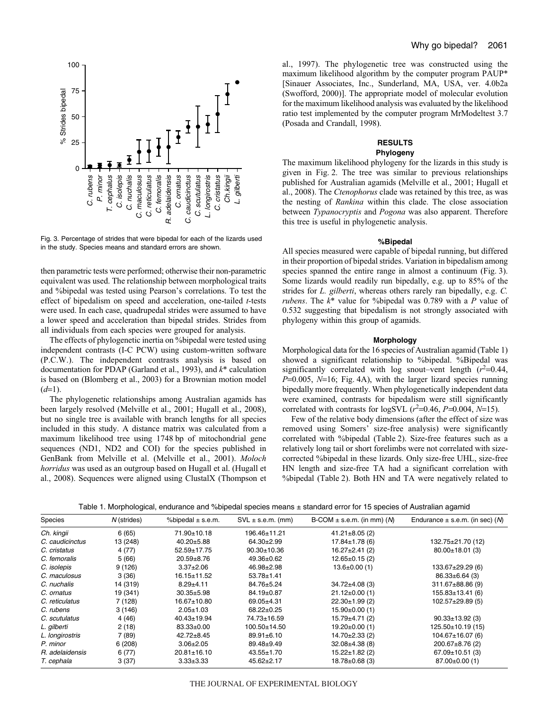



then parametric tests were performed; otherwise their non-parametric equivalent was used. The relationship between morphological traits and %bipedal was tested using Pearson's correlations. To test the effect of bipedalism on speed and acceleration, one-tailed *t*-tests were used. In each case, quadrupedal strides were assumed to have a lower speed and acceleration than bipedal strides. Strides from all individuals from each species were grouped for analysis.

The effects of phylogenetic inertia on %bipedal were tested using independent contrasts (I-C PCW) using custom-written software (P.C.W.). The independent contrasts analysis is based on documentation for PDAP (Garland et al., 1993), and *k*\* calculation is based on (Blomberg et al., 2003) for a Brownian motion model  $(d=1)$ .

The phylogenetic relationships among Australian agamids has been largely resolved (Melville et al., 2001; Hugall et al., 2008), but no single tree is available with branch lengths for all species included in this study. A distance matrix was calculated from a maximum likelihood tree using 1748 bp of mitochondrial gene sequences (ND1, ND2 and COI) for the species published in GenBank from Melville et al. (Melville et al., 2001). *Moloch horridus* was used as an outgroup based on Hugall et al. (Hugall et al., 2008). Sequences were aligned using ClustalX (Thompson et al., 1997). The phylogenetic tree was constructed using the maximum likelihood algorithm by the computer program PAUP\* [Sinauer Associates, Inc., Sunderland, MA, USA, ver. 4.0b2a (Swofford, 2000)]. The appropriate model of molecular evolution for the maximum likelihood analysis was evaluated by the likelihood ratio test implemented by the computer program MrModeltest 3.7 (Posada and Crandall, 1998).

# **RESULTS Phylogeny**

The maximum likelihood phylogeny for the lizards in this study is given in Fig. 2. The tree was similar to previous relationships published for Australian agamids (Melville et al., 2001; Hugall et al., 2008). The *Ctenophorus* clade was retained by this tree, as was the nesting of *Rankina* within this clade. The close association between *Typanocryptis* and *Pogona* was also apparent. Therefore this tree is useful in phylogenetic analysis.

## **%Bipedal**

All species measured were capable of bipedal running, but differed in their proportion of bipedal strides. Variation in bipedalism among species spanned the entire range in almost a continuum (Fig. 3). Some lizards would readily run bipedally, e.g. up to 85% of the strides for *L. gilberti*, whereas others rarely ran bipedally, e.g. *C. rubens*. The *k*\* value for %bipedal was 0.789 with a *P* value of 0.532 suggesting that bipedalism is not strongly associated with phylogeny within this group of agamids.

#### **Morphology**

Morphological data for the 16 species of Australian agamid (Table·1) showed a significant relationship to %bipedal. %Bipedal was significantly correlated with  $\log$  snout–vent length  $(r^2=0.44,$ *P*=0.005, *N*=16; Fig. 4A), with the larger lizard species running bipedally more frequently. When phylogenetically independent data were examined, contrasts for bipedalism were still significantly correlated with contrasts for logSVL  $(r^2=0.46, P=0.004, N=15)$ .

Few of the relative body dimensions (after the effect of size was removed using Somers' size-free analysis) were significantly correlated with %bipedal (Table 2). Size-free features such as a relatively long tail or short forelimbs were not correlated with sizecorrected %bipedal in these lizards. Only size-free UHL, size-free HN length and size-free TA had a significant correlation with %bipedal (Table 2). Both HN and TA were negatively related to

| Table 1. Morphological, endurance and %bipedal species means ± standard error for 15 species of Australian agamid |  |  |
|-------------------------------------------------------------------------------------------------------------------|--|--|
|                                                                                                                   |  |  |

| Species         | N (strides)<br>%bipedal $\pm$ s.e.m.<br>$SVL \pm s.e.m.$ (mm) |                   | $B-COM \pm s.e.m.$ (in mm) ( $M$ ) | Endurance $\pm$ s.e.m. (in sec) (M) |                        |
|-----------------|---------------------------------------------------------------|-------------------|------------------------------------|-------------------------------------|------------------------|
| Ch. kingii      | 6(65)                                                         | 71.90±10.18       | 196.46±11.21                       | $41.21 \pm 8.05$ (2)                |                        |
| C. caudicinctus | 13 (248)                                                      | $40.20 \pm 5.88$  | $64.30 \pm 2.99$                   | $17.84 \pm 1.78$ (6)                | 132.75±21.70 (12)      |
| C. cristatus    | 4(77)                                                         | 52.59±17.75       | $90.30 \pm 10.36$                  | $16.27 \pm 2.41$ (2)                | $80.00 \pm 18.01$ (3)  |
| C. femoralis    | 5(66)                                                         | $20.59 + 8.76$    | 49.36±0.62                         | $12.65 \pm 0.15$ (2)                |                        |
| C. isolepis     | 9(126)                                                        | $3.37 \pm 2.06$   | $46.98 \pm 2.98$                   | $13.6 \pm 0.00(1)$                  | $133.67 \pm 29.29$ (6) |
| C. maculosus    | 3(36)                                                         | 16.15±11.52       | $53.78 \pm 1.41$                   |                                     | $86.33 \pm 6.64$ (3)   |
| C. nuchalis     | 14 (319)                                                      | $8.29 + 4.11$     | 84.76±5.24                         | $34.72 \pm 4.08$ (3)                | 311.67±88.86 (9)       |
| C. ornatus      | 19 (341)                                                      | $30.35 \pm 5.98$  | 84.19±0.87                         | $21.12 \pm 0.00$ (1)                | $155.83 \pm 13.41$ (6) |
| C. reticulatus  | 7(128)                                                        | $16.67 \pm 10.80$ | $69.05 + 4.31$                     | $22.30 \pm 1.99$ (2)                | $102.57 \pm 29.89(5)$  |
| C. rubens       | 3(146)                                                        | $2.05 \pm 1.03$   | $68.22 \pm 0.25$                   | $15.90 \pm 0.00$ (1)                |                        |
| C. scutulatus   | 4 (46)                                                        | 40.43±19.94       | 74.73±16.59                        | $15.79 \pm 4.71$ (2)                | $90.33 \pm 13.92$ (3)  |
| L. gilberti     | 2(18)                                                         | $83.33 \pm 0.00$  | 100.50±14.50                       | $19.20 \pm 0.00$ (1)                | $125.50 \pm 10.19(15)$ |
| L. longirostris | 7(89)                                                         | $42.72 \pm 8.45$  | $89.91 \pm 6.10$                   | $14.70 \pm 2.33$ (2)                | $104.67 \pm 16.07$ (6) |
| P. minor        | 6(208)                                                        | $3.06 \pm 2.05$   | $89.48 \pm 9.49$                   | $32.08 \pm 4.38$ (8)                | $200.67 \pm 8.76$ (2)  |
| R. adelaidensis | 6(77)                                                         | $20.81 \pm 16.10$ | $43.55 \pm 1.70$                   | $15.22 \pm 1.82$ (2)                | $67.09 \pm 10.51$ (3)  |
| T. cephala      | 3(37)                                                         | $3.33 + 3.33$     | $45.62 \pm 2.17$                   | $18.78 \pm 0.68$ (3)                | 87.00±0.00 (1)         |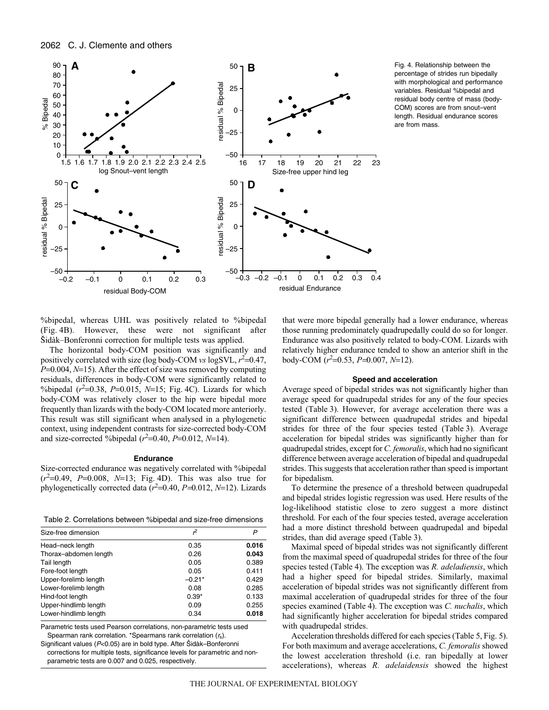

Fig. 4. Relationship between the percentage of strides run bipedally with morphological and performance variables. Residual %bipedal and residual body centre of mass (body-COM) scores are from snout–vent length. Residual endurance scores are from mass.

%bipedal, whereas UHL was positively related to %bipedal (Fig. 4B). However, these were not significant after Sidàk–Bonferonni correction for multiple tests was applied.

The horizontal body-COM position was significantly and positively correlated with size ( $log body$ -COM *vs*  $logSVL$ ,  $r^2$ =0.47, *P*=0.004, *N*=15). After the effect of size was removed by computing residuals, differences in body-COM were significantly related to %bipedal ( $r^2$ =0.38, *P*=0.015, *N*=15; Fig. 4C). Lizards for which body-COM was relatively closer to the hip were bipedal more frequently than lizards with the body-COM located more anteriorly. This result was still significant when analysed in a phylogenetic context, using independent contrasts for size-corrected body-COM and size-corrected  $\frac{6}{6}$ bipedal ( $r^2$ =0.40, *P*=0.012, *N*=14).

#### **Endurance**

Size-corrected endurance was negatively correlated with %bipedal  $(r^2=0.49, P=0.008, N=13;$  Fig. 4D). This was also true for phylogenetically corrected data  $(r^2=0.40, P=0.012, N=12)$ . Lizards

Table 2. Correlations between %bipedal and size-free dimensions

| Size-free dimension   | $\mathcal{L}$ |       |
|-----------------------|---------------|-------|
| Head-neck length      | 0.35          | 0.016 |
| Thorax-abdomen length | 0.26          | 0.043 |
| Tail length           | 0.05          | 0.389 |
| Fore-foot length      | 0.05          | 0.411 |
| Upper-forelimb length | $-0.21*$      | 0.429 |
| Lower-forelimb length | 0.08          | 0.285 |
| Hind-foot length      | $0.39*$       | 0.133 |
| Upper-hindlimb length | 0.09          | 0.255 |
| Lower-hindlimb length | 0.34          | 0.018 |

Parametric tests used Pearson correlations, non-parametric tests used Spearman rank correlation. \*Spearmans rank correlation  $(r_s)$ .

Significant values (P<0.05) are in bold type. After Šidàk–Bonferonni corrections for multiple tests, significance levels for parametric and nonparametric tests are 0.007 and 0.025, respectively.

that were more bipedal generally had a lower endurance, whereas those running predominately quadrupedally could do so for longer. Endurance was also positively related to body-COM. Lizards with relatively higher endurance tended to show an anterior shift in the body-COM (*r*<sup>2</sup> =0.53, *P*=0.007, *N*=12).

#### **Speed and acceleration**

Average speed of bipedal strides was not significantly higher than average speed for quadrupedal strides for any of the four species tested (Table 3). However, for average acceleration there was a significant difference between quadrupedal strides and bipedal strides for three of the four species tested (Table 3). Average acceleration for bipedal strides was significantly higher than for quadrupedal strides, except for *C. femoralis*, which had no significant difference between average acceleration of bipedal and quadrupedal strides. This suggests that acceleration rather than speed is important for bipedalism.

To determine the presence of a threshold between quadrupedal and bipedal strides logistic regression was used. Here results of the log-likelihood statistic close to zero suggest a more distinct threshold. For each of the four species tested, average acceleration had a more distinct threshold between quadrupedal and bipedal strides, than did average speed (Table 3).

Maximal speed of bipedal strides was not significantly different from the maximal speed of quadrupedal strides for three of the four species tested (Table 4). The exception was *R. adeladiensis*, which had a higher speed for bipedal strides. Similarly, maximal acceleration of bipedal strides was not significantly different from maximal acceleration of quadrupedal strides for three of the four species examined (Table 4). The exception was *C. nuchalis*, which had significantly higher acceleration for bipedal strides compared with quadrupedal strides.

Acceleration thresholds differed for each species (Table 5, Fig. 5). For both maximum and average accelerations, *C. femoralis* showed the lowest acceleration threshold (i.e. ran bipedally at lower accelerations), whereas *R. adelaidensis* showed the highest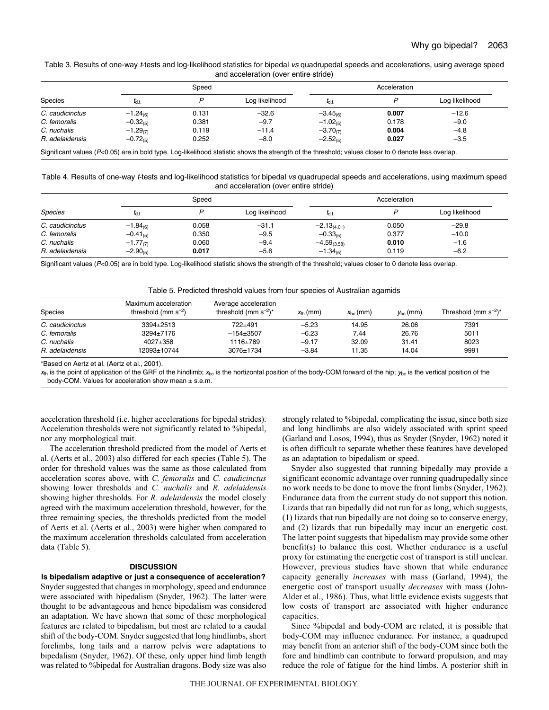Table 3. Results of one-way t-tests and log-likelihood statistics for bipedal vs quadrupedal speeds and accelerations, using average speed and acceleration (over entire stride)

| Species         |                    | Speed |                |               | Acceleration |                |
|-----------------|--------------------|-------|----------------|---------------|--------------|----------------|
|                 | $I_{\text{cl.f.}}$ |       | Log likelihood | $I_{d.f.}$    |              | Log likelihood |
| C. caudicinctus | $-1.24_{(6)}$      | 0.131 | $-32.6$        | $-3.45_{(6)}$ | 0.007        | $-12.6$        |
| C. femoralis    | $-0.32_{(5)}$      | 0.381 | $-9.7$         | $-1.02_{(5)}$ | 0.178        | $-9.0$         |
| C. nuchalis     | $-1.29_{(7)}$      | 0.119 | $-11.4$        | $-3.70(7)$    | 0.004        | $-4.8$         |
| R. adelaidensis | $-0.72_{(5)}$      | 0.252 | $-8.0$         | $-2.52_{(5)}$ | 0.027        | $-3.5$         |

Significant values (P<0.05) are in bold type. Log-likelihood statistic shows the strength of the threshold; values closer to 0 denote less overlap.

Table 4. Results of one-way t-tests and log-likelihood statistics for bipedal vs quadrupedal speeds and accelerations, using maximum speed and acceleration (over entire stride)

| Species         |                | Speed | Log likelihood |                  | Acceleration | Log likelihood |
|-----------------|----------------|-------|----------------|------------------|--------------|----------------|
|                 | $l_{\rm d.f.}$ | D     |                | $l_{\rm d,f}$    |              |                |
| C. caudicinctus | $-1.84_{(6)}$  | 0.058 | $-31.1$        | $-2.13_{(4.01)}$ | 0.050        | $-29.8$        |
| C. femoralis    | $-0.41_{(5)}$  | 0.350 | $-9.5$         | $-0.33_{(5)}$    | 0.377        | $-10.0$        |
| C. nuchalis     | $-1.77_{(7)}$  | 0.060 | $-9.4$         | $-4.59_{(3.58)}$ | 0.010        | $-1.6$         |
| R. adelaidensis | $-2.90_{(5)}$  | 0.017 | $-5.6$         | $-1.34_{(5)}$    | 0.119        | $-6.2$         |

Significant values ( $P<0.05$ ) are in bold type. Log-likelihood statistic shows the strength of the threshold; values closer to 0 denote less overlap.

Table 5. Predicted threshold values from four species of Australian agamids

| <b>Species</b>  | Maximum acceleration<br>threshold $(mm s^{-2})$ | Average acceleration<br>threshold (mm $s^{-2}$ )* | $x_{\text{fh}}$ (mm) | $x_{hc}$ (mm) | $V_{\rm bc}$ (mm) | Threshold (mm $s^{-2}$ )* |
|-----------------|-------------------------------------------------|---------------------------------------------------|----------------------|---------------|-------------------|---------------------------|
| C. caudicinctus | $3394 + 2513$                                   | 722+491                                           | $-5.23$              | 14.95         | 26.06             | 7391                      |
| C. femoralis    | $3294 \pm 7176$                                 | $-154+3507$                                       | $-6.23$              | 7.44          | 26.76             | 5011                      |
| C. nuchalis     | $4027 \pm 358$                                  | 1116±789                                          | $-9.17$              | 32.09         | 31.41             | 8023                      |
| R. adelaidensis | 12093±10744                                     | 3076±1734                                         | $-3.84$              | 11.35         | 14.04             | 9991                      |

\*Based on Aertz et al. (Aertz et al., 2001).

 $x_{\text{fn}}$  is the point of application of the GRF of the hindlimb;  $x_{\text{bc}}$  is the hortizontal position of the body-COM forward of the hip;  $y_{\text{bc}}$  is the vertical position of the body-COM. Values for acceleration show mean  $\pm$  s.e.m.

acceleration threshold (i.e. higher accelerations for bipedal strides). Acceleration thresholds were not significantly related to %bipedal, nor any morphological trait.

The acceleration threshold predicted from the model of Aerts et al. (Aerts et al., 2003) also differed for each species (Table·5). The order for threshold values was the same as those calculated from acceleration scores above, with *C. femoralis* and *C. caudicinctus* showing lower thresholds and *C. nuchalis* and *R. adelaidensis* showing higher thresholds. For *R. adelaidensis* the model closely agreed with the maximum acceleration threshold, however, for the three remaining species, the thresholds predicted from the model of Aerts et al. (Aerts et al., 2003) were higher when compared to the maximum acceleration thresholds calculated from acceleration data (Table 5).

## **DISCUSSION**

**Is bipedalism adaptive or just a consequence of acceleration?** Snyder suggested that changes in morphology, speed and endurance were associated with bipedalism (Snyder, 1962). The latter were thought to be advantageous and hence bipedalism was considered an adaptation. We have shown that some of these morphological features are related to bipedalism, but most are related to a caudal shift of the body-COM. Snyder suggested that long hindlimbs, short forelimbs, long tails and a narrow pelvis were adaptations to bipedalism (Snyder, 1962). Of these, only upper hind limb length was related to %bipedal for Australian dragons. Body size was also strongly related to %bipedal, complicating the issue, since both size and long hindlimbs are also widely associated with sprint speed (Garland and Losos, 1994), thus as Snyder (Snyder, 1962) noted it is often difficult to separate whether these features have developed as an adaptation to bipedalism or speed.

Snyder also suggested that running bipedally may provide a significant economic advantage over running quadrupedally since no work needs to be done to move the front limbs (Snyder, 1962). Endurance data from the current study do not support this notion. Lizards that ran bipedally did not run for as long, which suggests, (1) lizards that run bipedally are not doing so to conserve energy, and (2) lizards that run bipedally may incur an energetic cost. The latter point suggests that bipedalism may provide some other benefit(s) to balance this cost. Whether endurance is a useful proxy for estimating the energetic cost of transport is still unclear. However, previous studies have shown that while endurance capacity generally *increases* with mass (Garland, 1994), the energetic cost of transport usually *decreases* with mass (John-Alder et al., 1986). Thus, what little evidence exists suggests that low costs of transport are associated with higher endurance capacities.

Since %bipedal and body-COM are related, it is possible that body-COM may influence endurance. For instance, a quadruped may benefit from an anterior shift of the body-COM since both the fore and hindlimb can contribute to forward propulsion, and may reduce the role of fatigue for the hind limbs. A posterior shift in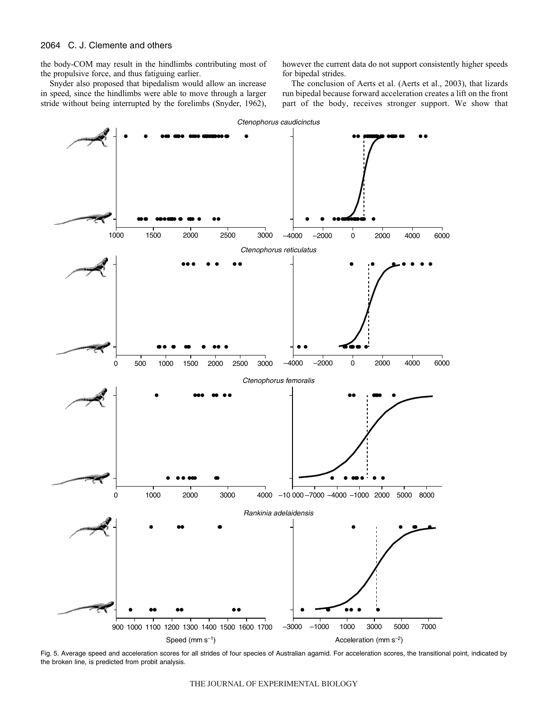2064 C. J. Clemente and others

the body-COM may result in the hindlimbs contributing most of the propulsive force, and thus fatiguing earlier.

Snyder also proposed that bipedalism would allow an increase in speed, since the hindlimbs were able to move through a larger stride without being interrupted by the forelimbs (Snyder, 1962), however the current data do not support consistently higher speeds for bipedal strides.

The conclusion of Aerts et al. (Aerts et al., 2003), that lizards run bipedal because forward acceleration creates a lift on the front part of the body, receives stronger support. We show that



Fig. 5. Average speed and acceleration scores for all strides of four species of Australian agamid. For acceleration scores, the transitional point, indicated by the broken line, is predicted from probit analysis.